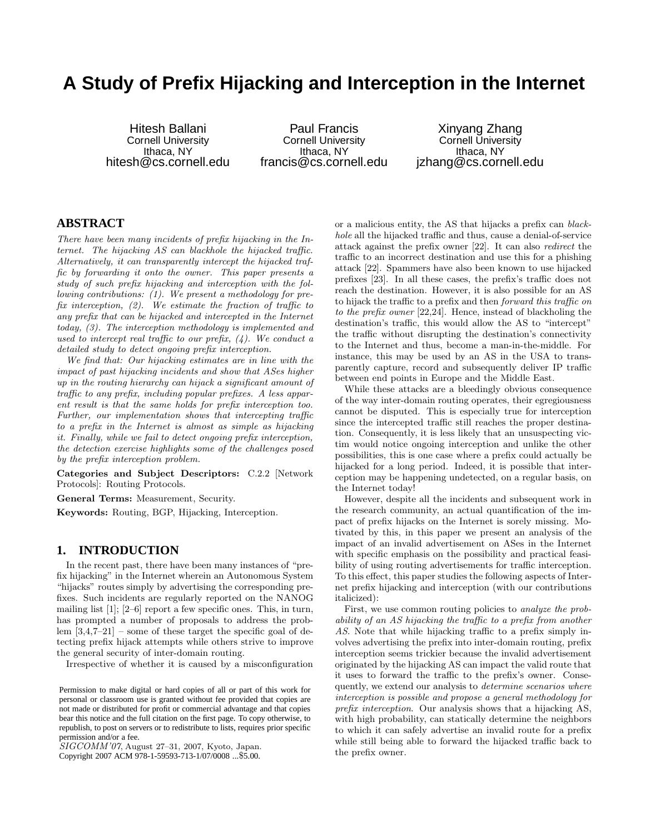# **A Study of Prefix Hijacking and Interception in the Internet**

Hitesh Ballani Cornell University Ithaca, NY hitesh@cs.cornell.edu

Paul Francis Cornell University Ithaca, NY francis@cs.cornell.edu

Xinyang Zhang Cornell University Ithaca, NY jzhang@cs.cornell.edu

# **ABSTRACT**

There have been many incidents of prefix hijacking in the Internet. The hijacking AS can blackhole the hijacked traffic. Alternatively, it can transparently intercept the hijacked traffic by forwarding it onto the owner. This paper presents a study of such prefix hijacking and interception with the following contributions: (1). We present a methodology for prefix interception, (2). We estimate the fraction of traffic to any prefix that can be hijacked and intercepted in the Internet today, (3). The interception methodology is implemented and used to intercept real traffic to our prefix,  $(4)$ . We conduct a detailed study to detect ongoing prefix interception.

We find that: Our hijacking estimates are in line with the impact of past hijacking incidents and show that ASes higher up in the routing hierarchy can hijack a significant amount of traffic to any prefix, including popular prefixes. A less apparent result is that the same holds for prefix interception too. Further, our implementation shows that intercepting traffic to a prefix in the Internet is almost as simple as hijacking it. Finally, while we fail to detect ongoing prefix interception, the detection exercise highlights some of the challenges posed by the prefix interception problem.

Categories and Subject Descriptors: C.2.2 [Network Protocols]: Routing Protocols.

General Terms: Measurement, Security.

Keywords: Routing, BGP, Hijacking, Interception.

#### **1. INTRODUCTION**

In the recent past, there have been many instances of "prefix hijacking" in the Internet wherein an Autonomous System "hijacks" routes simply by advertising the corresponding prefixes. Such incidents are regularly reported on the NANOG mailing list [1]; [2–6] report a few specific ones. This, in turn, has prompted a number of proposals to address the problem  $[3,4,7-21]$  – some of these target the specific goal of detecting prefix hijack attempts while others strive to improve the general security of inter-domain routing.

Irrespective of whether it is caused by a misconfiguration

SIGCOMM'07, August 27–31, 2007, Kyoto, Japan.

Copyright 2007 ACM 978-1-59593-713-1/07/0008 ...\$5.00.

or a malicious entity, the AS that hijacks a prefix can blackhole all the hijacked traffic and thus, cause a denial-of-service attack against the prefix owner [22]. It can also redirect the traffic to an incorrect destination and use this for a phishing attack [22]. Spammers have also been known to use hijacked prefixes [23]. In all these cases, the prefix's traffic does not reach the destination. However, it is also possible for an AS to hijack the traffic to a prefix and then forward this traffic on to the prefix owner [22,24]. Hence, instead of blackholing the destination's traffic, this would allow the AS to "intercept" the traffic without disrupting the destination's connectivity to the Internet and thus, become a man-in-the-middle. For instance, this may be used by an AS in the USA to transparently capture, record and subsequently deliver IP traffic between end points in Europe and the Middle East.

While these attacks are a bleedingly obvious consequence of the way inter-domain routing operates, their egregiousness cannot be disputed. This is especially true for interception since the intercepted traffic still reaches the proper destination. Consequently, it is less likely that an unsuspecting victim would notice ongoing interception and unlike the other possibilities, this is one case where a prefix could actually be hijacked for a long period. Indeed, it is possible that interception may be happening undetected, on a regular basis, on the Internet today!

However, despite all the incidents and subsequent work in the research community, an actual quantification of the impact of prefix hijacks on the Internet is sorely missing. Motivated by this, in this paper we present an analysis of the impact of an invalid advertisement on ASes in the Internet with specific emphasis on the possibility and practical feasibility of using routing advertisements for traffic interception. To this effect, this paper studies the following aspects of Internet prefix hijacking and interception (with our contributions italicized):

First, we use common routing policies to *analyze the prob*ability of an AS hijacking the traffic to a prefix from another AS. Note that while hijacking traffic to a prefix simply involves advertising the prefix into inter-domain routing, prefix interception seems trickier because the invalid advertisement originated by the hijacking AS can impact the valid route that it uses to forward the traffic to the prefix's owner. Consequently, we extend our analysis to determine scenarios where interception is possible and propose a general methodology for prefix interception. Our analysis shows that a hijacking AS, with high probability, can statically determine the neighbors to which it can safely advertise an invalid route for a prefix while still being able to forward the hijacked traffic back to the prefix owner.

Permission to make digital or hard copies of all or part of this work for personal or classroom use is granted without fee provided that copies are not made or distributed for profit or commercial advantage and that copies bear this notice and the full citation on the first page. To copy otherwise, to republish, to post on servers or to redistribute to lists, requires prior specific permission and/or a fee.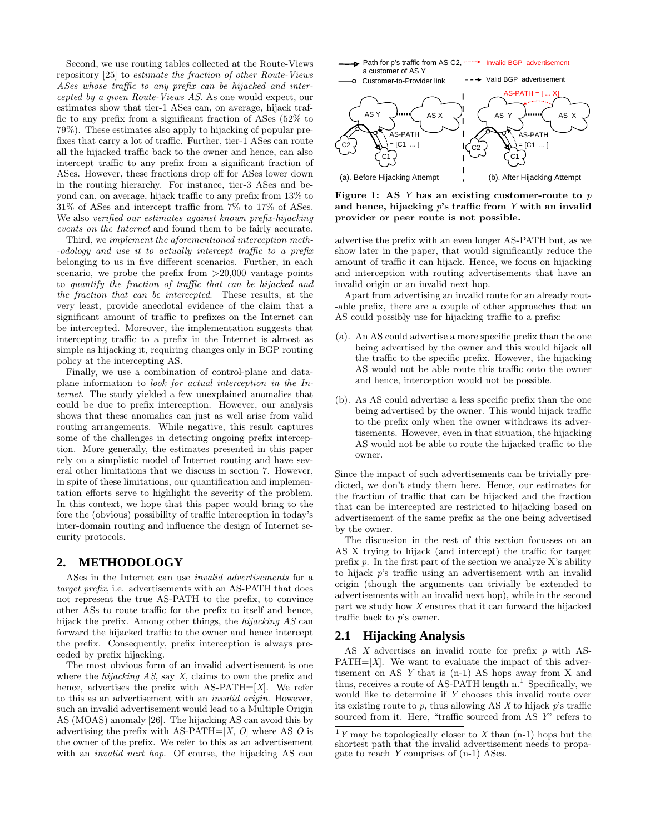Second, we use routing tables collected at the Route-Views repository [25] to estimate the fraction of other Route-Views ASes whose traffic to any prefix can be hijacked and intercepted by a given Route-Views AS. As one would expect, our estimates show that tier-1 ASes can, on average, hijack traffic to any prefix from a significant fraction of ASes (52% to 79%). These estimates also apply to hijacking of popular prefixes that carry a lot of traffic. Further, tier-1 ASes can route all the hijacked traffic back to the owner and hence, can also intercept traffic to any prefix from a significant fraction of ASes. However, these fractions drop off for ASes lower down in the routing hierarchy. For instance, tier-3 ASes and beyond can, on average, hijack traffic to any prefix from 13% to 31% of ASes and intercept traffic from 7% to 17% of ASes. We also verified our estimates against known prefix-hijacking events on the Internet and found them to be fairly accurate.

Third, we implement the aforementioned interception meth- -odology and use it to actually intercept traffic to a prefix belonging to us in five different scenarios. Further, in each scenario, we probe the prefix from >20,000 vantage points to quantify the fraction of traffic that can be hijacked and the fraction that can be intercepted. These results, at the very least, provide anecdotal evidence of the claim that a significant amount of traffic to prefixes on the Internet can be intercepted. Moreover, the implementation suggests that intercepting traffic to a prefix in the Internet is almost as simple as hijacking it, requiring changes only in BGP routing policy at the intercepting AS.

Finally, we use a combination of control-plane and dataplane information to look for actual interception in the Internet. The study yielded a few unexplained anomalies that could be due to prefix interception. However, our analysis shows that these anomalies can just as well arise from valid routing arrangements. While negative, this result captures some of the challenges in detecting ongoing prefix interception. More generally, the estimates presented in this paper rely on a simplistic model of Internet routing and have several other limitations that we discuss in section 7. However, in spite of these limitations, our quantification and implementation efforts serve to highlight the severity of the problem. In this context, we hope that this paper would bring to the fore the (obvious) possibility of traffic interception in today's inter-domain routing and influence the design of Internet security protocols.

## **2. METHODOLOGY**

ASes in the Internet can use invalid advertisements for a target prefix, i.e. advertisements with an AS-PATH that does not represent the true AS-PATH to the prefix, to convince other ASs to route traffic for the prefix to itself and hence, hijack the prefix. Among other things, the *hijacking AS* can forward the hijacked traffic to the owner and hence intercept the prefix. Consequently, prefix interception is always preceded by prefix hijacking.

The most obvious form of an invalid advertisement is one where the *hijacking AS*, say X, claims to own the prefix and hence, advertises the prefix with  $AS-PATH=[X]$ . We refer to this as an advertisement with an invalid origin. However, such an invalid advertisement would lead to a Multiple Origin AS (MOAS) anomaly [26]. The hijacking AS can avoid this by advertising the prefix with AS-PATH= $[X, O]$  where AS O is the owner of the prefix. We refer to this as an advertisement with an *invalid next hop.* Of course, the hijacking AS can



Figure 1: AS  $Y$  has an existing customer-route to  $p$ and hence, hijacking  $p$ 's traffic from Y with an invalid provider or peer route is not possible.

advertise the prefix with an even longer AS-PATH but, as we show later in the paper, that would significantly reduce the amount of traffic it can hijack. Hence, we focus on hijacking and interception with routing advertisements that have an invalid origin or an invalid next hop.

Apart from advertising an invalid route for an already rout- -able prefix, there are a couple of other approaches that an AS could possibly use for hijacking traffic to a prefix:

- (a). An AS could advertise a more specific prefix than the one being advertised by the owner and this would hijack all the traffic to the specific prefix. However, the hijacking AS would not be able route this traffic onto the owner and hence, interception would not be possible.
- (b). As AS could advertise a less specific prefix than the one being advertised by the owner. This would hijack traffic to the prefix only when the owner withdraws its advertisements. However, even in that situation, the hijacking AS would not be able to route the hijacked traffic to the owner.

Since the impact of such advertisements can be trivially predicted, we don't study them here. Hence, our estimates for the fraction of traffic that can be hijacked and the fraction that can be intercepted are restricted to hijacking based on advertisement of the same prefix as the one being advertised by the owner.

The discussion in the rest of this section focusses on an AS X trying to hijack (and intercept) the traffic for target prefix  $p$ . In the first part of the section we analyze X's ability to hijack p's traffic using an advertisement with an invalid origin (though the arguments can trivially be extended to advertisements with an invalid next hop), while in the second part we study how  $X$  ensures that it can forward the hijacked traffic back to p's owner.

#### **2.1 Hijacking Analysis**

AS  $X$  advertises an invalid route for prefix  $p$  with AS- $PATH=[X]$ . We want to evaluate the impact of this advertisement on AS Y that is (n-1) AS hops away from X and thus, receives a route of AS-PATH length  $n<sup>1</sup>$ . Specifically, we would like to determine if Y chooses this invalid route over its existing route to  $p$ , thus allowing AS  $X$  to hijack  $p$ 's traffic sourced from it. Here, "traffic sourced from AS Y" refers to

<sup>&</sup>lt;sup>1</sup> Y may be topologically closer to X than  $(n-1)$  hops but the shortest path that the invalid advertisement needs to propagate to reach Y comprises of (n-1) ASes.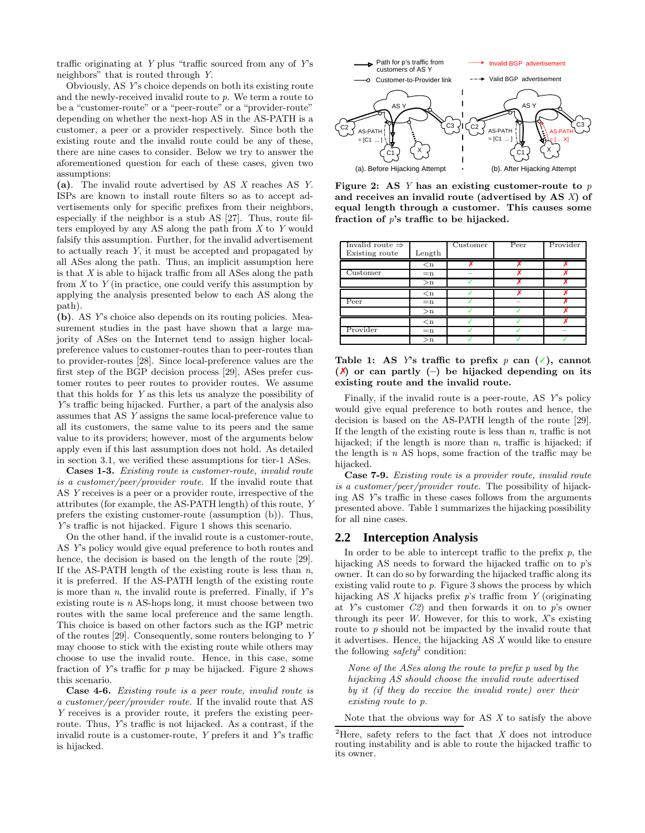traffic originating at Y plus "traffic sourced from any of Y's neighbors" that is routed through Y.

Obviously, AS Y's choice depends on both its existing route and the newly-received invalid route to  $p$ . We term a route to be a "customer-route" or a "peer-route" or a "provider-route" depending on whether the next-hop AS in the AS-PATH is a customer, a peer or a provider respectively. Since both the existing route and the invalid route could be any of these, there are nine cases to consider. Below we try to answer the aforementioned question for each of these cases, given two assumptions:

(a). The invalid route advertised by AS X reaches AS Y. ISPs are known to install route filters so as to accept advertisements only for specific prefixes from their neighbors, especially if the neighbor is a stub AS [27]. Thus, route filters employed by any AS along the path from  $X$  to  $Y$  would falsify this assumption. Further, for the invalid advertisement to actually reach Y, it must be accepted and propagated by all ASes along the path. Thus, an implicit assumption here is that  $X$  is able to hijack traffic from all ASes along the path from  $X$  to  $Y$  (in practice, one could verify this assumption by applying the analysis presented below to each AS along the path).

(b). AS Y's choice also depends on its routing policies. Measurement studies in the past have shown that a large majority of ASes on the Internet tend to assign higher localpreference values to customer-routes than to peer-routes than to provider-routes [28]. Since local-preference values are the first step of the BGP decision process [29], ASes prefer customer routes to peer routes to provider routes. We assume that this holds for Y as this lets us analyze the possibility of Y's traffic being hijacked. Further, a part of the analysis also assumes that AS Y assigns the same local-preference value to all its customers, the same value to its peers and the same value to its providers; however, most of the arguments below apply even if this last assumption does not hold. As detailed in section 3.1, we verified these assumptions for tier-1 ASes.

Cases 1-3. Existing route is customer-route, invalid route is a customer/peer/provider route. If the invalid route that AS Y receives is a peer or a provider route, irrespective of the attributes (for example, the AS-PATH length) of this route, Y prefers the existing customer-route (assumption (b)). Thus, Y's traffic is not hijacked. Figure 1 shows this scenario.

On the other hand, if the invalid route is a customer-route, AS Y's policy would give equal preference to both routes and hence, the decision is based on the length of the route [29]. If the AS-PATH length of the existing route is less than  $n$ , it is preferred. If the AS-PATH length of the existing route is more than  $n$ , the invalid route is preferred. Finally, if  $Y$ 's existing route is  $n$  AS-hops long, it must choose between two routes with the same local preference and the same length. This choice is based on other factors such as the IGP metric of the routes [29]. Consequently, some routers belonging to Y may choose to stick with the existing route while others may choose to use the invalid route. Hence, in this case, some fraction of  $Y$ 's traffic for  $p$  may be hijacked. Figure 2 shows this scenario.

Case 4-6. Existing route is a peer route, invalid route is a customer/peer/provider route. If the invalid route that AS Y receives is a provider route, it prefers the existing peerroute. Thus, Y's traffic is not hijacked. As a contrast, if the invalid route is a customer-route,  $Y$  prefers it and  $Y$ s traffic is hijacked.



Figure 2: AS  $Y$  has an existing customer-route to  $p$ and receives an invalid route (advertised by AS X) of equal length through a customer. This causes some fraction of  $p$ 's traffic to be hijacked.

| Invalid route $\Rightarrow$ |                | Customer                 | Peer   | Provider |
|-----------------------------|----------------|--------------------------|--------|----------|
| Existing route              | Length         |                          |        |          |
|                             | $\mathop < n$  |                          |        |          |
| Customer                    | $=n$           | $\overline{\phantom{a}}$ |        |          |
|                             | >n             |                          |        |          |
|                             | $\mathop{<} n$ |                          |        |          |
| Peer                        | $=n$           |                          | $\sim$ |          |
|                             | >n             |                          |        |          |
|                             | $\mathop < n$  |                          |        |          |
| Provider                    | $=n$           |                          |        | $\sim$   |
|                             | >n             |                          |        |          |

Table 1: AS Y's traffic to prefix p can  $(\sqrt{})$ , cannot  $(X)$  or can partly  $(-)$  be hijacked depending on its existing route and the invalid route.

Finally, if the invalid route is a peer-route, AS Y's policy would give equal preference to both routes and hence, the decision is based on the AS-PATH length of the route [29]. If the length of the existing route is less than  $n$ , traffic is not hijacked; if the length is more than  $n$ , traffic is hijacked; if the length is  $n$  AS hops, some fraction of the traffic may be hijacked.

Case 7-9. Existing route is a provider route, invalid route is a customer/peer/provider route. The possibility of hijacking AS Y's traffic in these cases follows from the arguments presented above. Table 1 summarizes the hijacking possibility for all nine cases.

#### **2.2 Interception Analysis**

In order to be able to intercept traffic to the prefix  $p$ , the hijacking AS needs to forward the hijacked traffic on to p's owner. It can do so by forwarding the hijacked traffic along its existing valid route to  $p$ . Figure 3 shows the process by which hijacking AS  $X$  hijacks prefix  $p$ 's traffic from  $Y$  (originating at  $Y$ 's customer  $C_2$ ) and then forwards it on to p's owner through its peer  $W$ . However, for this to work,  $X$ 's existing route to  $p$  should not be impacted by the invalid route that it advertises. Hence, the hijacking AS X would like to ensure the following  $\mathit{safety}^2$  condition:

None of the ASes along the route to prefix p used by the hijacking AS should choose the invalid route advertised by it (if they do receive the invalid route) over their existing route to p.

Note that the obvious way for AS  $X$  to satisfy the above

<sup>&</sup>lt;sup>2</sup>Here, safety refers to the fact that  $X$  does not introduce routing instability and is able to route the hijacked traffic to its owner.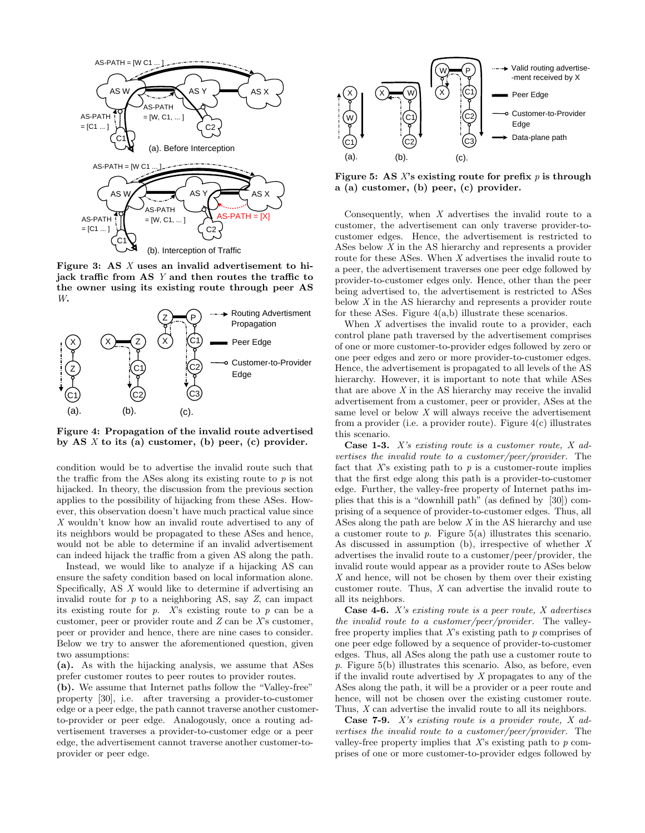

Figure 3: AS  $X$  uses an invalid advertisement to hijack traffic from AS Y and then routes the traffic to the owner using its existing route through peer AS W.



Figure 4: Propagation of the invalid route advertised by AS  $X$  to its (a) customer, (b) peer, (c) provider.

condition would be to advertise the invalid route such that the traffic from the ASes along its existing route to  $p$  is not hijacked. In theory, the discussion from the previous section applies to the possibility of hijacking from these ASes. However, this observation doesn't have much practical value since X wouldn't know how an invalid route advertised to any of its neighbors would be propagated to these ASes and hence, would not be able to determine if an invalid advertisement can indeed hijack the traffic from a given AS along the path.

Instead, we would like to analyze if a hijacking AS can ensure the safety condition based on local information alone. Specifically, AS X would like to determine if advertising an invalid route for p to a neighboring AS, say Z, can impact its existing route for  $p$ . X's existing route to  $p$  can be a customer, peer or provider route and  $Z$  can be  $X$ 's customer, peer or provider and hence, there are nine cases to consider. Below we try to answer the aforementioned question, given two assumptions:

(a). As with the hijacking analysis, we assume that ASes prefer customer routes to peer routes to provider routes.

(b). We assume that Internet paths follow the "Valley-free" property [30], i.e. after traversing a provider-to-customer edge or a peer edge, the path cannot traverse another customerto-provider or peer edge. Analogously, once a routing advertisement traverses a provider-to-customer edge or a peer edge, the advertisement cannot traverse another customer-toprovider or peer edge.



Figure 5: AS  $X$ 's existing route for prefix  $p$  is through a (a) customer, (b) peer, (c) provider.

Consequently, when  $X$  advertises the invalid route to a customer, the advertisement can only traverse provider-tocustomer edges. Hence, the advertisement is restricted to ASes below X in the AS hierarchy and represents a provider route for these ASes. When X advertises the invalid route to a peer, the advertisement traverses one peer edge followed by provider-to-customer edges only. Hence, other than the peer being advertised to, the advertisement is restricted to ASes below X in the AS hierarchy and represents a provider route for these ASes. Figure  $4(a,b)$  illustrate these scenarios.

When  $X$  advertises the invalid route to a provider, each control plane path traversed by the advertisement comprises of one or more customer-to-provider edges followed by zero or one peer edges and zero or more provider-to-customer edges. Hence, the advertisement is propagated to all levels of the AS hierarchy. However, it is important to note that while ASes that are above  $X$  in the AS hierarchy may receive the invalid advertisement from a customer, peer or provider, ASes at the same level or below X will always receive the advertisement from a provider (i.e. a provider route). Figure 4(c) illustrates this scenario.

Case 1-3. X's existing route is a customer route, X advertises the invalid route to a customer/peer/provider. The fact that  $X$ 's existing path to  $p$  is a customer-route implies that the first edge along this path is a provider-to-customer edge. Further, the valley-free property of Internet paths implies that this is a "downhill path" (as defined by [30]) comprising of a sequence of provider-to-customer edges. Thus, all ASes along the path are below X in the AS hierarchy and use a customer route to  $p$ . Figure  $5(a)$  illustrates this scenario. As discussed in assumption (b), irrespective of whether X advertises the invalid route to a customer/peer/provider, the invalid route would appear as a provider route to ASes below X and hence, will not be chosen by them over their existing customer route. Thus, X can advertise the invalid route to all its neighbors.

**Case 4-6.**  $X$ 's existing route is a peer route,  $X$  advertises the invalid route to a customer/peer/provider. The valleyfree property implies that  $X$ 's existing path to p comprises of one peer edge followed by a sequence of provider-to-customer edges. Thus, all ASes along the path use a customer route to p. Figure 5(b) illustrates this scenario. Also, as before, even if the invalid route advertised by  $X$  propagates to any of the ASes along the path, it will be a provider or a peer route and hence, will not be chosen over the existing customer route. Thus, X can advertise the invalid route to all its neighbors.

Case 7-9. X's existing route is a provider route, X advertises the invalid route to a customer/peer/provider. The valley-free property implies that  $X$ 's existing path to p comprises of one or more customer-to-provider edges followed by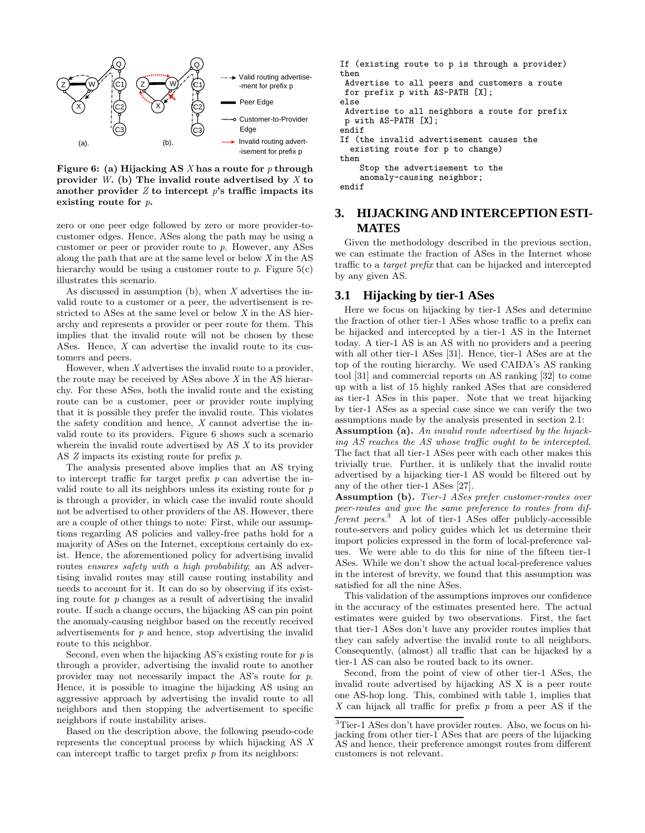

Figure 6: (a) Hijacking AS  $X$  has a route for  $p$  through provider  $W$ . (b) The invalid route advertised by  $X$  to another provider  $Z$  to intercept  $p$ 's traffic impacts its existing route for p.

zero or one peer edge followed by zero or more provider-tocustomer edges. Hence, ASes along the path may be using a customer or peer or provider route to p. However, any ASes along the path that are at the same level or below  $X$  in the AS hierarchy would be using a customer route to p. Figure  $5(c)$ illustrates this scenario.

As discussed in assumption  $(b)$ , when X advertises the invalid route to a customer or a peer, the advertisement is restricted to ASes at the same level or below  $X$  in the AS hierarchy and represents a provider or peer route for them. This implies that the invalid route will not be chosen by these ASes. Hence, X can advertise the invalid route to its customers and peers.

However, when  $X$  advertises the invalid route to a provider, the route may be received by ASes above  $X$  in the AS hierarchy. For these ASes, both the invalid route and the existing route can be a customer, peer or provider route implying that it is possible they prefer the invalid route. This violates the safety condition and hence, X cannot advertise the invalid route to its providers. Figure 6 shows such a scenario wherein the invalid route advertised by AS X to its provider AS Z impacts its existing route for prefix p.

The analysis presented above implies that an AS trying to intercept traffic for target prefix  $p$  can advertise the invalid route to all its neighbors unless its existing route for p is through a provider, in which case the invalid route should not be advertised to other providers of the AS. However, there are a couple of other things to note: First, while our assumptions regarding AS policies and valley-free paths hold for a majority of ASes on the Internet, exceptions certainly do exist. Hence, the aforementioned policy for advertising invalid routes ensures safety with a high probability; an AS advertising invalid routes may still cause routing instability and needs to account for it. It can do so by observing if its existing route for p changes as a result of advertising the invalid route. If such a change occurs, the hijacking AS can pin point the anomaly-causing neighbor based on the recently received advertisements for  $p$  and hence, stop advertising the invalid route to this neighbor.

Second, even when the hijacking  $AS$ 's existing route for  $p$  is through a provider, advertising the invalid route to another provider may not necessarily impact the AS's route for p. Hence, it is possible to imagine the hijacking AS using an aggressive approach by advertising the invalid route to all neighbors and then stopping the advertisement to specific neighbors if route instability arises.

Based on the description above, the following pseudo-code represents the conceptual process by which hijacking AS X can intercept traffic to target prefix  $p$  from its neighbors:

```
If (existing route to p is through a provider)
then
Advertise to all peers and customers a route
for prefix p with AS-PATH [X];
else
Advertise to all neighbors a route for prefix
p with AS-PATH [X];
endif
If (the invalid advertisement causes the
  existing route for p to change)
then
   Stop the advertisement to the
    anomaly-causing neighbor;
```
endif

# **3. HIJACKING AND INTERCEPTION ESTI-MATES**

Given the methodology described in the previous section, we can estimate the fraction of ASes in the Internet whose traffic to a target prefix that can be hijacked and intercepted by any given AS.

# **3.1 Hijacking by tier-1 ASes**

Here we focus on hijacking by tier-1 ASes and determine the fraction of other tier-1 ASes whose traffic to a prefix can be hijacked and intercepted by a tier-1 AS in the Internet today. A tier-1 AS is an AS with no providers and a peering with all other tier-1 ASes [31]. Hence, tier-1 ASes are at the top of the routing hierarchy. We used CAIDA's AS ranking tool [31] and commercial reports on AS ranking [32] to come up with a list of 15 highly ranked ASes that are considered as tier-1 ASes in this paper. Note that we treat hijacking by tier-1 ASes as a special case since we can verify the two assumptions made by the analysis presented in section 2.1:

Assumption (a). An invalid route advertised by the hijacking AS reaches the AS whose traffic ought to be intercepted. The fact that all tier-1 ASes peer with each other makes this trivially true. Further, it is unlikely that the invalid route advertised by a hijacking tier-1 AS would be filtered out by any of the other tier-1 ASes [27].

Assumption (b). Tier-1 ASes prefer customer-routes over peer-routes and give the same preference to routes from different peers.<sup>3</sup> A lot of tier-1 ASes offer publicly-accessible route-servers and policy guides which let us determine their import policies expressed in the form of local-preference values. We were able to do this for nine of the fifteen tier-1 ASes. While we don't show the actual local-preference values in the interest of brevity, we found that this assumption was satisfied for all the nine ASes.

This validation of the assumptions improves our confidence in the accuracy of the estimates presented here. The actual estimates were guided by two observations. First, the fact that tier-1 ASes don't have any provider routes implies that they can safely advertise the invalid route to all neighbors. Consequently, (almost) all traffic that can be hijacked by a tier-1 AS can also be routed back to its owner.

Second, from the point of view of other tier-1 ASes, the invalid route advertised by hijacking AS X is a peer route one AS-hop long. This, combined with table 1, implies that  $X$  can hijack all traffic for prefix  $p$  from a peer AS if the

<sup>3</sup>Tier-1 ASes don't have provider routes. Also, we focus on hijacking from other tier-1 ASes that are peers of the hijacking AS and hence, their preference amongst routes from different customers is not relevant.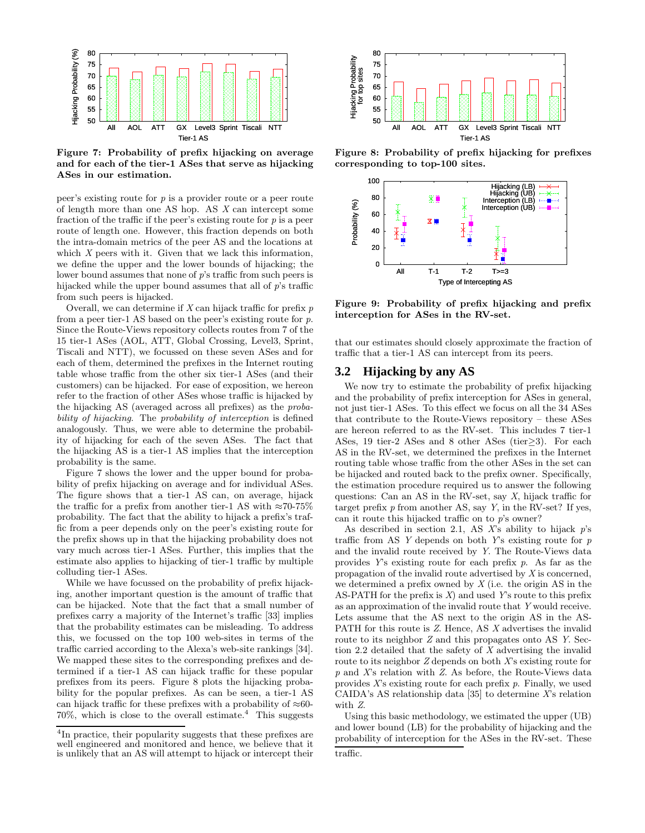

Figure 7: Probability of prefix hijacking on average and for each of the tier-1 ASes that serve as hijacking ASes in our estimation.

peer's existing route for  $p$  is a provider route or a peer route of length more than one AS hop. AS X can intercept some fraction of the traffic if the peer's existing route for  $p$  is a peer route of length one. However, this fraction depends on both the intra-domain metrics of the peer AS and the locations at which  $X$  peers with it. Given that we lack this information, we define the upper and the lower bounds of hijacking; the lower bound assumes that none of p's traffic from such peers is hijacked while the upper bound assumes that all of p's traffic from such peers is hijacked.

Overall, we can determine if  $X$  can hijack traffic for prefix  $p$ from a peer tier-1 AS based on the peer's existing route for p. Since the Route-Views repository collects routes from 7 of the 15 tier-1 ASes (AOL, ATT, Global Crossing, Level3, Sprint, Tiscali and NTT), we focussed on these seven ASes and for each of them, determined the prefixes in the Internet routing table whose traffic from the other six tier-1 ASes (and their customers) can be hijacked. For ease of exposition, we hereon refer to the fraction of other ASes whose traffic is hijacked by the hijacking AS (averaged across all prefixes) as the probability of hijacking. The probability of interception is defined analogously. Thus, we were able to determine the probability of hijacking for each of the seven ASes. The fact that the hijacking AS is a tier-1 AS implies that the interception probability is the same.

Figure 7 shows the lower and the upper bound for probability of prefix hijacking on average and for individual ASes. The figure shows that a tier-1 AS can, on average, hijack the traffic for a prefix from another tier-1 AS with  $\approx 70-75\%$ probability. The fact that the ability to hijack a prefix's traffic from a peer depends only on the peer's existing route for the prefix shows up in that the hijacking probability does not vary much across tier-1 ASes. Further, this implies that the estimate also applies to hijacking of tier-1 traffic by multiple colluding tier-1 ASes.

While we have focussed on the probability of prefix hijacking, another important question is the amount of traffic that can be hijacked. Note that the fact that a small number of prefixes carry a majority of the Internet's traffic [33] implies that the probability estimates can be misleading. To address this, we focussed on the top 100 web-sites in terms of the traffic carried according to the Alexa's web-site rankings [34]. We mapped these sites to the corresponding prefixes and determined if a tier-1 AS can hijack traffic for these popular prefixes from its peers. Figure 8 plots the hijacking probability for the popular prefixes. As can be seen, a tier-1 AS can hijack traffic for these prefixes with a probability of  $\approx 60$ - $70\%$ , which is close to the overall estimate.<sup>4</sup> This suggests



Figure 8: Probability of prefix hijacking for prefixes corresponding to top-100 sites.



Figure 9: Probability of prefix hijacking and prefix interception for ASes in the RV-set.

that our estimates should closely approximate the fraction of traffic that a tier-1 AS can intercept from its peers.

#### **3.2 Hijacking by any AS**

We now try to estimate the probability of prefix hijacking and the probability of prefix interception for ASes in general, not just tier-1 ASes. To this effect we focus on all the 34 ASes that contribute to the Route-Views repository – these ASes are hereon referred to as the RV-set. This includes 7 tier-1 ASes, 19 tier-2 ASes and 8 other ASes (tier≥3). For each AS in the RV-set, we determined the prefixes in the Internet routing table whose traffic from the other ASes in the set can be hijacked and routed back to the prefix owner. Specifically, the estimation procedure required us to answer the following questions: Can an AS in the RV-set, say  $X$ , hijack traffic for target prefix  $p$  from another AS, say  $Y$ , in the RV-set? If yes, can it route this hijacked traffic on to p's owner?

As described in section 2.1, AS  $X$ 's ability to hijack  $p$ 's traffic from AS Y depends on both Y's existing route for  $p$ and the invalid route received by Y. The Route-Views data provides Y's existing route for each prefix p. As far as the propagation of the invalid route advertised by X is concerned, we determined a prefix owned by  $X$  (i.e. the origin AS in the AS-PATH for the prefix is  $X$ ) and used  $Y$ 's route to this prefix as an approximation of the invalid route that Y would receive. Lets assume that the AS next to the origin AS in the AS-PATH for this route is Z. Hence, AS X advertises the invalid route to its neighbor  $Z$  and this propagates onto AS Y. Section 2.2 detailed that the safety of  $X$  advertising the invalid route to its neighbor Z depends on both X's existing route for  $p$  and  $X$ 's relation with  $Z$ . As before, the Route-Views data provides  $X$ 's existing route for each prefix p. Finally, we used CAIDA's AS relationship data  $[35]$  to determine X's relation with Z.

Using this basic methodology, we estimated the upper (UB) and lower bound (LB) for the probability of hijacking and the probability of interception for the ASes in the RV-set. These

<sup>&</sup>lt;sup>4</sup>In practice, their popularity suggests that these prefixes are well engineered and monitored and hence, we believe that it is unlikely that an AS will attempt to hijack or intercept their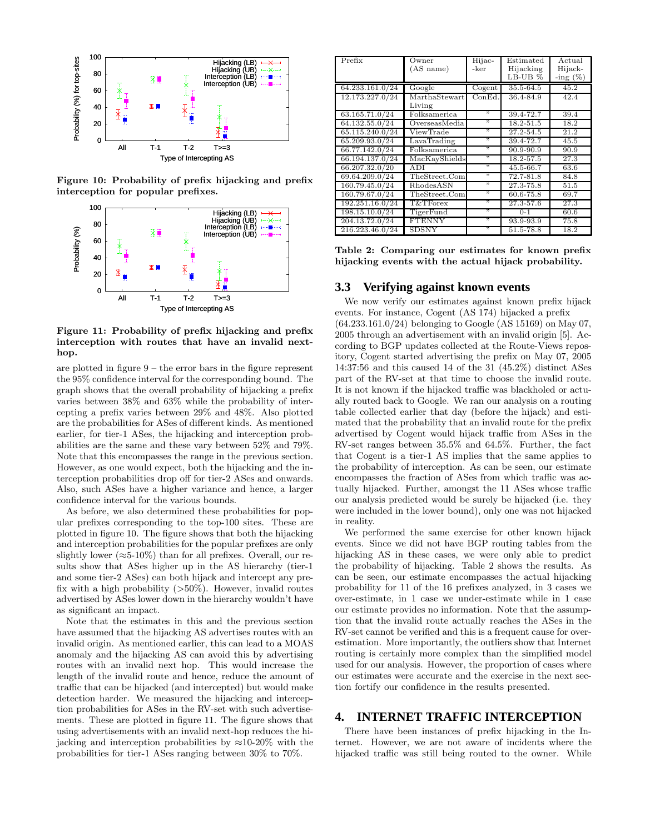

Figure 10: Probability of prefix hijacking and prefix interception for popular prefixes.



Figure 11: Probability of prefix hijacking and prefix interception with routes that have an invalid nexthop.

are plotted in figure  $9$  – the error bars in the figure represent the 95% confidence interval for the corresponding bound. The graph shows that the overall probability of hijacking a prefix varies between 38% and 63% while the probability of intercepting a prefix varies between 29% and 48%. Also plotted are the probabilities for ASes of different kinds. As mentioned earlier, for tier-1 ASes, the hijacking and interception probabilities are the same and these vary between 52% and 79%. Note that this encompasses the range in the previous section. However, as one would expect, both the hijacking and the interception probabilities drop off for tier-2 ASes and onwards. Also, such ASes have a higher variance and hence, a larger confidence interval for the various bounds.

As before, we also determined these probabilities for popular prefixes corresponding to the top-100 sites. These are plotted in figure 10. The figure shows that both the hijacking and interception probabilities for the popular prefixes are only slightly lower ( $\approx$ 5-10%) than for all prefixes. Overall, our results show that ASes higher up in the AS hierarchy (tier-1 and some tier-2 ASes) can both hijack and intercept any prefix with a high probability  $(>50\%)$ . However, invalid routes advertised by ASes lower down in the hierarchy wouldn't have as significant an impact.

Note that the estimates in this and the previous section have assumed that the hijacking AS advertises routes with an invalid origin. As mentioned earlier, this can lead to a MOAS anomaly and the hijacking AS can avoid this by advertising routes with an invalid next hop. This would increase the length of the invalid route and hence, reduce the amount of traffic that can be hijacked (and intercepted) but would make detection harder. We measured the hijacking and interception probabilities for ASes in the RV-set with such advertisements. These are plotted in figure 11. The figure shows that using advertisements with an invalid next-hop reduces the hijacking and interception probabilities by  $\approx$ 10-20% with the probabilities for tier-1 ASes ranging between 30% to 70%.

| Prefix          | Owner<br>$(AS \text{ name})$                              | Hijac-<br>-ker           | Estimated<br>Hijacking<br>LB-UB % | Actual<br>Hijack-<br>$-$ ing $(\%)$ |
|-----------------|-----------------------------------------------------------|--------------------------|-----------------------------------|-------------------------------------|
| 64.233.161.0/24 | Google                                                    | Cogent                   | 35.5-64.5                         | 45.2                                |
| 12.173.227.0/24 | MarthaStewart<br>Living                                   | ConEd.                   | 36.4-84.9                         | 42.4                                |
| 63.165.71.0/24  | Folksamerica                                              | ,                        | 39.4-72.7                         | 39.4                                |
| 64.132.55.0/24  | OverseasMedia                                             | , 7                      | $18.2 - 51.5$                     | $\overline{18.2}$                   |
| 65.115.240.0/24 | ViewTrade                                                 | ,                        | $27.2 - 54.5$                     | 21.2                                |
| 65.209.93.0/24  | LavaTrading                                               | ,                        | 39.4-72.7                         | 45.5                                |
| 66.77.142.0/24  | $F$ olksamerica                                           | ,                        | 90.9-90.9                         | 90.9                                |
| 66.194.137.0/24 | MacKayShields                                             | ,                        | 18.2-57.5                         | 27.3                                |
| 66.207.32.0/20  | <b>ADI</b>                                                | ,7                       | 45.5-66.7                         | 63.6                                |
| 69.64.209.0/24  | TheStreet.Com                                             | ,                        | $72.7 - 81.8$                     | 84.8                                |
| 160.79.45.0/24  | $\mathop{\mathrm{Rhodes}}\nolimits \mathop{\mathrm{ASN}}$ | ,                        | 27.3-75.8                         | 51.5                                |
| 160.79.67.0/24  | TheStreet.Com                                             | ,                        | 60.6-75.8                         | 69.7                                |
| 192.251.16.0/24 | T&TForex                                                  | ,                        | 27.3-57.6                         | 27.3                                |
| 198.15.10.0/24  | TigerFund                                                 | ,                        | $0 - 1$                           | 60.6                                |
| 204.13.72.0/24  | <b>FTENNY</b>                                             | $\overline{\mathcal{P}}$ | 93.9-93.9                         | 75.8                                |
| 216.223.46.0/24 | SDSNY                                                     | ,7                       | 51.5-78.8                         | 18.2                                |

Table 2: Comparing our estimates for known prefix hijacking events with the actual hijack probability.

#### **3.3 Verifying against known events**

We now verify our estimates against known prefix hijack events. For instance, Cogent (AS 174) hijacked a prefix (64.233.161.0/24) belonging to Google (AS 15169) on May 07, 2005 through an advertisement with an invalid origin [5]. According to BGP updates collected at the Route-Views repository, Cogent started advertising the prefix on May 07, 2005 14:37:56 and this caused 14 of the 31 (45.2%) distinct ASes part of the RV-set at that time to choose the invalid route. It is not known if the hijacked traffic was blackholed or actually routed back to Google. We ran our analysis on a routing table collected earlier that day (before the hijack) and estimated that the probability that an invalid route for the prefix advertised by Cogent would hijack traffic from ASes in the RV-set ranges between 35.5% and 64.5%. Further, the fact that Cogent is a tier-1 AS implies that the same applies to the probability of interception. As can be seen, our estimate encompasses the fraction of ASes from which traffic was actually hijacked. Further, amongst the 11 ASes whose traffic our analysis predicted would be surely be hijacked (i.e. they were included in the lower bound), only one was not hijacked in reality.

We performed the same exercise for other known hijack events. Since we did not have BGP routing tables from the hijacking AS in these cases, we were only able to predict the probability of hijacking. Table 2 shows the results. As can be seen, our estimate encompasses the actual hijacking probability for 11 of the 16 prefixes analyzed, in 3 cases we over-estimate, in 1 case we under-estimate while in 1 case our estimate provides no information. Note that the assumption that the invalid route actually reaches the ASes in the RV-set cannot be verified and this is a frequent cause for overestimation. More importantly, the outliers show that Internet routing is certainly more complex than the simplified model used for our analysis. However, the proportion of cases where our estimates were accurate and the exercise in the next section fortify our confidence in the results presented.

# **4. INTERNET TRAFFIC INTERCEPTION**

There have been instances of prefix hijacking in the Internet. However, we are not aware of incidents where the hijacked traffic was still being routed to the owner. While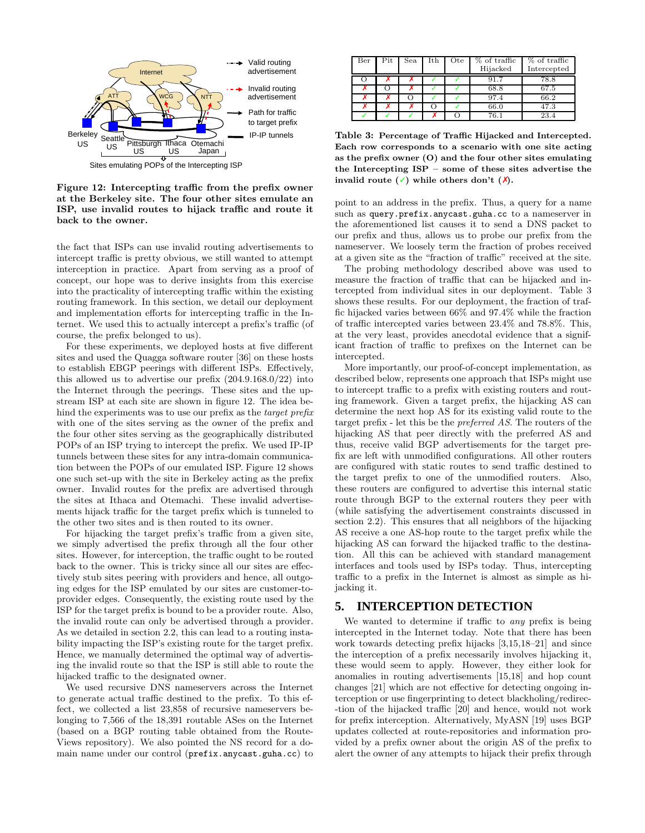

Figure 12: Intercepting traffic from the prefix owner at the Berkeley site. The four other sites emulate an ISP, use invalid routes to hijack traffic and route it back to the owner.

the fact that ISPs can use invalid routing advertisements to intercept traffic is pretty obvious, we still wanted to attempt interception in practice. Apart from serving as a proof of concept, our hope was to derive insights from this exercise into the practicality of intercepting traffic within the existing routing framework. In this section, we detail our deployment and implementation efforts for intercepting traffic in the Internet. We used this to actually intercept a prefix's traffic (of course, the prefix belonged to us).

For these experiments, we deployed hosts at five different sites and used the Quagga software router [36] on these hosts to establish EBGP peerings with different ISPs. Effectively, this allowed us to advertise our prefix (204.9.168.0/22) into the Internet through the peerings. These sites and the upstream ISP at each site are shown in figure 12. The idea behind the experiments was to use our prefix as the *target prefix* with one of the sites serving as the owner of the prefix and the four other sites serving as the geographically distributed POPs of an ISP trying to intercept the prefix. We used IP-IP tunnels between these sites for any intra-domain communication between the POPs of our emulated ISP. Figure 12 shows one such set-up with the site in Berkeley acting as the prefix owner. Invalid routes for the prefix are advertised through the sites at Ithaca and Otemachi. These invalid advertisements hijack traffic for the target prefix which is tunneled to the other two sites and is then routed to its owner.

For hijacking the target prefix's traffic from a given site, we simply advertised the prefix through all the four other sites. However, for interception, the traffic ought to be routed back to the owner. This is tricky since all our sites are effectively stub sites peering with providers and hence, all outgoing edges for the ISP emulated by our sites are customer-toprovider edges. Consequently, the existing route used by the ISP for the target prefix is bound to be a provider route. Also, the invalid route can only be advertised through a provider. As we detailed in section 2.2, this can lead to a routing instability impacting the ISP's existing route for the target prefix. Hence, we manually determined the optimal way of advertising the invalid route so that the ISP is still able to route the hijacked traffic to the designated owner.

We used recursive DNS nameservers across the Internet to generate actual traffic destined to the prefix. To this effect, we collected a list 23,858 of recursive nameservers belonging to 7,566 of the 18,391 routable ASes on the Internet (based on a BGP routing table obtained from the Route-Views repository). We also pointed the NS record for a domain name under our control (prefix.anycast.guha.cc) to

| Ber | $_{\rm Pit}$ | $_{\rm Sea}$ | Ith | Ote | $%$ of traffic<br>Hijacked | % of traffic<br>Intercepted |
|-----|--------------|--------------|-----|-----|----------------------------|-----------------------------|
|     |              |              |     |     | 91.7                       | 78.8                        |
|     |              |              |     |     | 68.8                       | 67.5                        |
|     |              |              |     |     | 97.4                       | 66.2                        |
|     |              |              |     |     | 66.0                       | 47.3                        |
|     |              |              |     |     | 76.1                       | 23.4                        |

Table 3: Percentage of Traffic Hijacked and Intercepted. Each row corresponds to a scenario with one site acting as the prefix owner (O) and the four other sites emulating the Intercepting ISP – some of these sites advertise the invalid route  $(\checkmark)$  while others don't  $(\checkmark)$ .

point to an address in the prefix. Thus, a query for a name such as query.prefix.anycast.guha.cc to a nameserver in the aforementioned list causes it to send a DNS packet to our prefix and thus, allows us to probe our prefix from the nameserver. We loosely term the fraction of probes received at a given site as the "fraction of traffic" received at the site.

The probing methodology described above was used to measure the fraction of traffic that can be hijacked and intercepted from individual sites in our deployment. Table 3 shows these results. For our deployment, the fraction of traffic hijacked varies between 66% and 97.4% while the fraction of traffic intercepted varies between 23.4% and 78.8%. This, at the very least, provides anecdotal evidence that a significant fraction of traffic to prefixes on the Internet can be intercepted.

More importantly, our proof-of-concept implementation, as described below, represents one approach that ISPs might use to intercept traffic to a prefix with existing routers and routing framework. Given a target prefix, the hijacking AS can determine the next hop AS for its existing valid route to the target prefix - let this be the preferred AS. The routers of the hijacking AS that peer directly with the preferred AS and thus, receive valid BGP advertisements for the target prefix are left with unmodified configurations. All other routers are configured with static routes to send traffic destined to the target prefix to one of the unmodified routers. Also, these routers are configured to advertise this internal static route through BGP to the external routers they peer with (while satisfying the advertisement constraints discussed in section 2.2). This ensures that all neighbors of the hijacking AS receive a one AS-hop route to the target prefix while the hijacking AS can forward the hijacked traffic to the destination. All this can be achieved with standard management interfaces and tools used by ISPs today. Thus, intercepting traffic to a prefix in the Internet is almost as simple as hijacking it.

# **5. INTERCEPTION DETECTION**

We wanted to determine if traffic to *any* prefix is being intercepted in the Internet today. Note that there has been work towards detecting prefix hijacks [3,15,18–21] and since the interception of a prefix necessarily involves hijacking it, these would seem to apply. However, they either look for anomalies in routing advertisements [15,18] and hop count changes [21] which are not effective for detecting ongoing interception or use fingerprinting to detect blackholing/redirec- -tion of the hijacked traffic [20] and hence, would not work for prefix interception. Alternatively, MyASN [19] uses BGP updates collected at route-repositories and information provided by a prefix owner about the origin AS of the prefix to alert the owner of any attempts to hijack their prefix through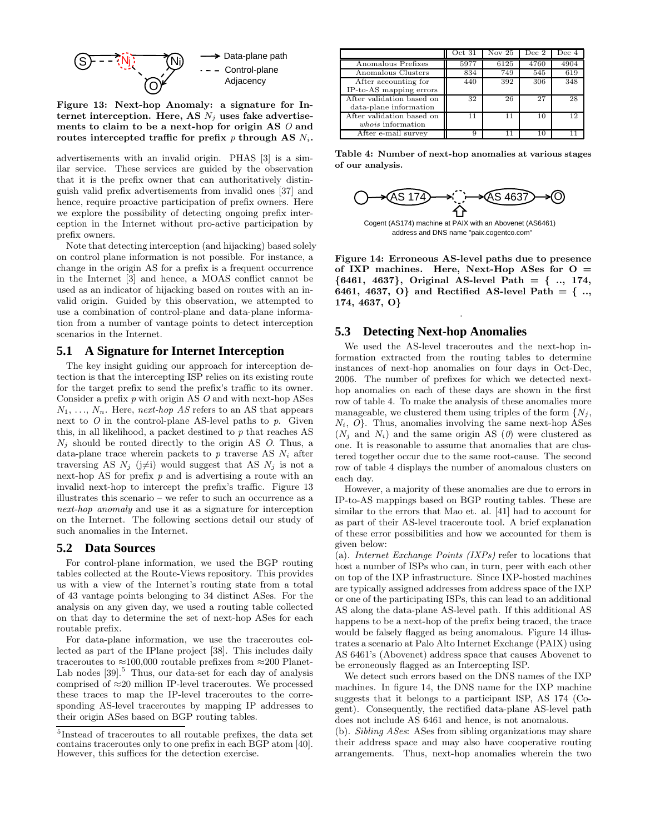

Figure 13: Next-hop Anomaly: a signature for Internet interception. Here, AS  $N_j$  uses fake advertisements to claim to be a next-hop for origin AS O and routes intercepted traffic for prefix  $p$  through AS  $N_i$ .

advertisements with an invalid origin. PHAS [3] is a similar service. These services are guided by the observation that it is the prefix owner that can authoritatively distinguish valid prefix advertisements from invalid ones [37] and hence, require proactive participation of prefix owners. Here we explore the possibility of detecting ongoing prefix interception in the Internet without pro-active participation by prefix owners.

Note that detecting interception (and hijacking) based solely on control plane information is not possible. For instance, a change in the origin AS for a prefix is a frequent occurrence in the Internet [3] and hence, a MOAS conflict cannot be used as an indicator of hijacking based on routes with an invalid origin. Guided by this observation, we attempted to use a combination of control-plane and data-plane information from a number of vantage points to detect interception scenarios in the Internet.

#### **5.1 A Signature for Internet Interception**

The key insight guiding our approach for interception detection is that the intercepting ISP relies on its existing route for the target prefix to send the prefix's traffic to its owner. Consider a prefix p with origin AS O and with next-hop ASes  $N_1, \ldots, N_n$ . Here, next-hop AS refers to an AS that appears next to  $O$  in the control-plane AS-level paths to  $p$ . Given this, in all likelihood, a packet destined to p that reaches AS  $N_j$  should be routed directly to the origin AS O. Thus, a data-plane trace wherein packets to  $p$  traverse AS  $N_i$  after traversing AS  $N_j$  (j $\neq$ i) would suggest that AS  $N_j$  is not a next-hop AS for prefix  $p$  and is advertising a route with an invalid next-hop to intercept the prefix's traffic. Figure 13 illustrates this scenario – we refer to such an occurrence as a next-hop anomaly and use it as a signature for interception on the Internet. The following sections detail our study of such anomalies in the Internet.

## **5.2 Data Sources**

For control-plane information, we used the BGP routing tables collected at the Route-Views repository. This provides us with a view of the Internet's routing state from a total of 43 vantage points belonging to 34 distinct ASes. For the analysis on any given day, we used a routing table collected on that day to determine the set of next-hop ASes for each routable prefix.

For data-plane information, we use the traceroutes collected as part of the IPlane project [38]. This includes daily traceroutes to  $\approx$ 100,000 routable prefixes from  $\approx$ 200 Planet-Lab nodes  $[39]$ <sup>5</sup>. Thus, our data-set for each day of analysis comprised of  $\approx 20$  million IP-level traceroutes. We processed these traces to map the IP-level traceroutes to the corresponding AS-level traceroutes by mapping IP addresses to their origin ASes based on BGP routing tables.

|                                                       | Oct 31 | Nov $25$ | Dec 2 | $Dec\ 4$ |
|-------------------------------------------------------|--------|----------|-------|----------|
| Anomalous Prefixes                                    | 5977   | 6125     | 4760  | 4904     |
| Anomalous Clusters                                    | 834    | 749      | 545   | 619      |
| After accounting for<br>IP-to-AS mapping errors       | 440    | 392      | 306   | 348      |
| After validation based on<br>data-plane information   | 32     | 26       | 27    | 28       |
| After validation based on<br><i>whois</i> information | 11     | 11       | 10    | 12       |
| After e-mail survey                                   |        |          | 10    |          |

Table 4: Number of next-hop anomalies at various stages of our analysis.



address and DNS name "paix.cogentco.com"

Figure 14: Erroneous AS-level paths due to presence of IXP machines. Here, Next-Hop ASes for  $O =$  ${6461, 4637}$ , Original AS-level Path =  ${$ .., 174, 6461, 4637, O} and Rectified AS-level Path =  $\{ \ldots, \ldots, \ldots \}$ 174, 4637, O}

.

# **5.3 Detecting Next-hop Anomalies**

We used the AS-level traceroutes and the next-hop information extracted from the routing tables to determine instances of next-hop anomalies on four days in Oct-Dec, 2006. The number of prefixes for which we detected nexthop anomalies on each of these days are shown in the first row of table 4. To make the analysis of these anomalies more manageable, we clustered them using triples of the form  $\{N_i,$  $N_i$ ,  $O$ . Thus, anomalies involving the same next-hop ASes  $(N_j \text{ and } N_i)$  and the same origin AS  $(0)$  were clustered as one. It is reasonable to assume that anomalies that are clustered together occur due to the same root-cause. The second row of table 4 displays the number of anomalous clusters on each day.

However, a majority of these anomalies are due to errors in IP-to-AS mappings based on BGP routing tables. These are similar to the errors that Mao et. al. [41] had to account for as part of their AS-level traceroute tool. A brief explanation of these error possibilities and how we accounted for them is given below:

(a). Internet Exchange Points (IXPs) refer to locations that host a number of ISPs who can, in turn, peer with each other on top of the IXP infrastructure. Since IXP-hosted machines are typically assigned addresses from address space of the IXP or one of the participating ISPs, this can lead to an additional AS along the data-plane AS-level path. If this additional AS happens to be a next-hop of the prefix being traced, the trace would be falsely flagged as being anomalous. Figure 14 illustrates a scenario at Palo Alto Internet Exchange (PAIX) using AS 6461's (Abovenet) address space that causes Abovenet to be erroneously flagged as an Intercepting ISP.

We detect such errors based on the DNS names of the IXP machines. In figure 14, the DNS name for the IXP machine suggests that it belongs to a participant ISP, AS 174 (Cogent). Consequently, the rectified data-plane AS-level path does not include AS 6461 and hence, is not anomalous.

(b). Sibling ASes: ASes from sibling organizations may share their address space and may also have cooperative routing arrangements. Thus, next-hop anomalies wherein the two

<sup>5</sup> Instead of traceroutes to all routable prefixes, the data set contains traceroutes only to one prefix in each BGP atom [40]. However, this suffices for the detection exercise.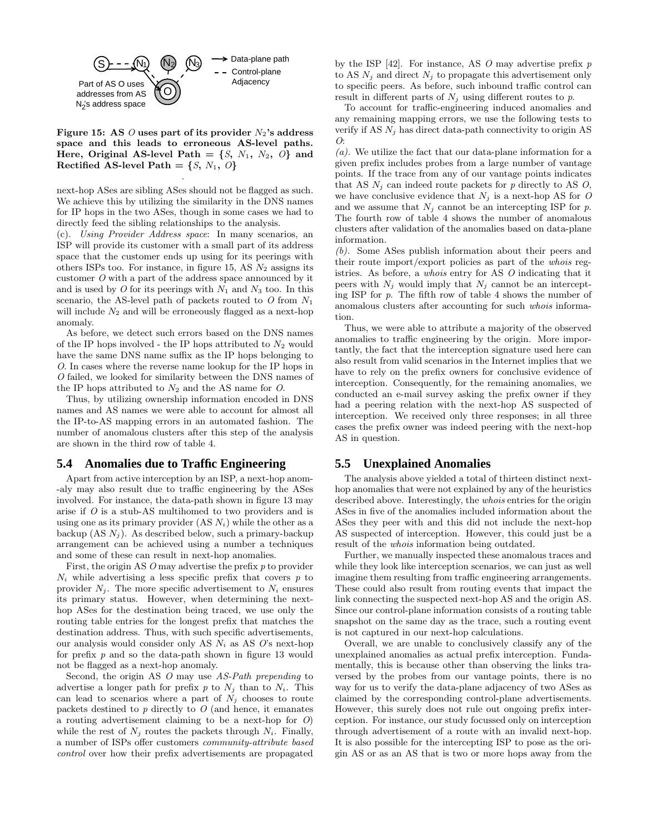

Figure 15: AS  $\hat{O}$  uses part of its provider  $N_2$ 's address space and this leads to erroneous AS-level paths. Here, Original AS-level Path =  $\{S, N_1, N_2, O\}$  and Rectified AS-level Path  $= \{S, N_1, O\}$ 

.

next-hop ASes are sibling ASes should not be flagged as such. We achieve this by utilizing the similarity in the DNS names for IP hops in the two ASes, though in some cases we had to directly feed the sibling relationships to the analysis.

(c). Using Provider Address space: In many scenarios, an ISP will provide its customer with a small part of its address space that the customer ends up using for its peerings with others ISPs too. For instance, in figure 15, AS  $N_2$  assigns its customer O with a part of the address space announced by it and is used by  $O$  for its peerings with  $N_1$  and  $N_3$  too. In this scenario, the AS-level path of packets routed to  $O$  from  $N_1$ will include  $N_2$  and will be erroneously flagged as a next-hop anomaly.

As before, we detect such errors based on the DNS names of the IP hops involved - the IP hops attributed to  $N_2$  would have the same DNS name suffix as the IP hops belonging to O. In cases where the reverse name lookup for the IP hops in O failed, we looked for similarity between the DNS names of the IP hops attributed to  $N_2$  and the AS name for O.

Thus, by utilizing ownership information encoded in DNS names and AS names we were able to account for almost all the IP-to-AS mapping errors in an automated fashion. The number of anomalous clusters after this step of the analysis are shown in the third row of table 4.

# **5.4 Anomalies due to Traffic Engineering**

Apart from active interception by an ISP, a next-hop anom- -aly may also result due to traffic engineering by the ASes involved. For instance, the data-path shown in figure 13 may arise if O is a stub-AS multihomed to two providers and is using one as its primary provider  $(AS N_i)$  while the other as a backup (AS  $N_i$ ). As described below, such a primary-backup arrangement can be achieved using a number a techniques and some of these can result in next-hop anomalies.

First, the origin AS O may advertise the prefix p to provider  $N_i$  while advertising a less specific prefix that covers p to provider  $N_i$ . The more specific advertisement to  $N_i$  ensures its primary status. However, when determining the nexthop ASes for the destination being traced, we use only the routing table entries for the longest prefix that matches the destination address. Thus, with such specific advertisements, our analysis would consider only AS  $N_i$  as AS O's next-hop for prefix  $p$  and so the data-path shown in figure 13 would not be flagged as a next-hop anomaly.

Second, the origin AS O may use AS-Path prepending to advertise a longer path for prefix p to  $N_j$  than to  $N_i$ . This can lead to scenarios where a part of  $N_i$  chooses to route packets destined to  $p$  directly to  $O$  (and hence, it emanates a routing advertisement claiming to be a next-hop for O) while the rest of  $N_i$  routes the packets through  $N_i$ . Finally, a number of ISPs offer customers community-attribute based control over how their prefix advertisements are propagated

by the ISP  $[42]$ . For instance, AS O may advertise prefix  $p$ to AS  $N_i$  and direct  $N_i$  to propagate this advertisement only to specific peers. As before, such inbound traffic control can result in different parts of  $N_i$  using different routes to p.

To account for traffic-engineering induced anomalies and any remaining mapping errors, we use the following tests to verify if AS  $N_i$  has direct data-path connectivity to origin AS O:

 $(a)$ . We utilize the fact that our data-plane information for a given prefix includes probes from a large number of vantage points. If the trace from any of our vantage points indicates that AS  $N_j$  can indeed route packets for p directly to AS  $O$ , we have conclusive evidence that  $N_j$  is a next-hop AS for O and we assume that  $N_j$  cannot be an intercepting ISP for  $p$ . The fourth row of table 4 shows the number of anomalous clusters after validation of the anomalies based on data-plane information.

(b). Some ASes publish information about their peers and their route import/export policies as part of the whois registries. As before, a whois entry for AS O indicating that it peers with  $N_i$  would imply that  $N_i$  cannot be an intercepting ISP for p. The fifth row of table 4 shows the number of anomalous clusters after accounting for such whois information.

Thus, we were able to attribute a majority of the observed anomalies to traffic engineering by the origin. More importantly, the fact that the interception signature used here can also result from valid scenarios in the Internet implies that we have to rely on the prefix owners for conclusive evidence of interception. Consequently, for the remaining anomalies, we conducted an e-mail survey asking the prefix owner if they had a peering relation with the next-hop AS suspected of interception. We received only three responses; in all three cases the prefix owner was indeed peering with the next-hop AS in question.

#### **5.5 Unexplained Anomalies**

The analysis above yielded a total of thirteen distinct nexthop anomalies that were not explained by any of the heuristics described above. Interestingly, the *whois* entries for the origin ASes in five of the anomalies included information about the ASes they peer with and this did not include the next-hop AS suspected of interception. However, this could just be a result of the whois information being outdated.

Further, we manually inspected these anomalous traces and while they look like interception scenarios, we can just as well imagine them resulting from traffic engineering arrangements. These could also result from routing events that impact the link connecting the suspected next-hop AS and the origin AS. Since our control-plane information consists of a routing table snapshot on the same day as the trace, such a routing event is not captured in our next-hop calculations.

Overall, we are unable to conclusively classify any of the unexplained anomalies as actual prefix interception. Fundamentally, this is because other than observing the links traversed by the probes from our vantage points, there is no way for us to verify the data-plane adjacency of two ASes as claimed by the corresponding control-plane advertisements. However, this surely does not rule out ongoing prefix interception. For instance, our study focussed only on interception through advertisement of a route with an invalid next-hop. It is also possible for the intercepting ISP to pose as the origin AS or as an AS that is two or more hops away from the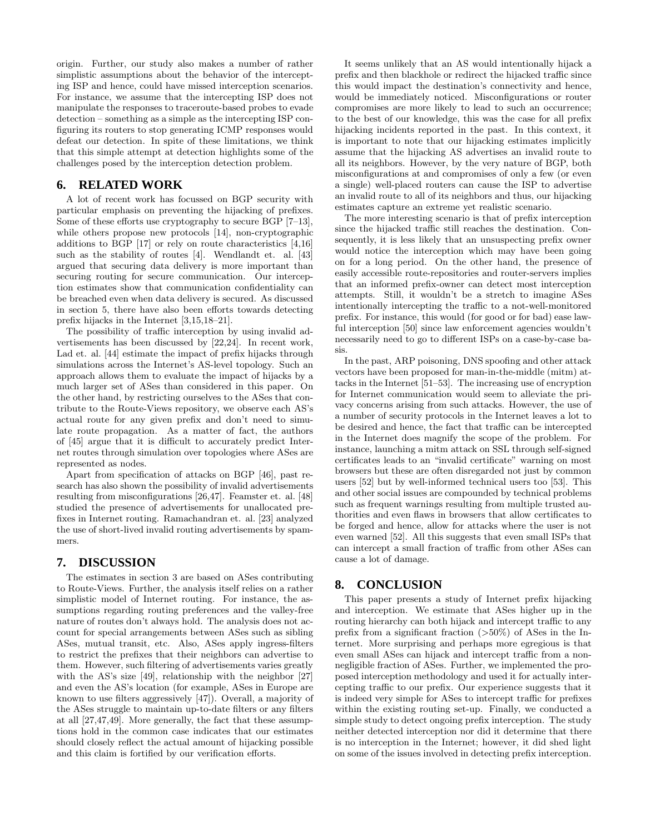origin. Further, our study also makes a number of rather simplistic assumptions about the behavior of the intercepting ISP and hence, could have missed interception scenarios. For instance, we assume that the intercepting ISP does not manipulate the responses to traceroute-based probes to evade detection – something as a simple as the intercepting ISP configuring its routers to stop generating ICMP responses would defeat our detection. In spite of these limitations, we think that this simple attempt at detection highlights some of the challenges posed by the interception detection problem.

# **6. RELATED WORK**

A lot of recent work has focussed on BGP security with particular emphasis on preventing the hijacking of prefixes. Some of these efforts use cryptography to secure BGP [7–13], while others propose new protocols [14], non-cryptographic additions to BGP [17] or rely on route characteristics [4,16] such as the stability of routes [4]. Wendlandt et. al. [43] argued that securing data delivery is more important than securing routing for secure communication. Our interception estimates show that communication confidentiality can be breached even when data delivery is secured. As discussed in section 5, there have also been efforts towards detecting prefix hijacks in the Internet [3,15,18–21].

The possibility of traffic interception by using invalid advertisements has been discussed by [22,24]. In recent work, Lad et. al. [44] estimate the impact of prefix hijacks through simulations across the Internet's AS-level topology. Such an approach allows them to evaluate the impact of hijacks by a much larger set of ASes than considered in this paper. On the other hand, by restricting ourselves to the ASes that contribute to the Route-Views repository, we observe each AS's actual route for any given prefix and don't need to simulate route propagation. As a matter of fact, the authors of [45] argue that it is difficult to accurately predict Internet routes through simulation over topologies where ASes are represented as nodes.

Apart from specification of attacks on BGP [46], past research has also shown the possibility of invalid advertisements resulting from misconfigurations [26,47]. Feamster et. al. [48] studied the presence of advertisements for unallocated prefixes in Internet routing. Ramachandran et. al. [23] analyzed the use of short-lived invalid routing advertisements by spammers.

# **7. DISCUSSION**

The estimates in section 3 are based on ASes contributing to Route-Views. Further, the analysis itself relies on a rather simplistic model of Internet routing. For instance, the assumptions regarding routing preferences and the valley-free nature of routes don't always hold. The analysis does not account for special arrangements between ASes such as sibling ASes, mutual transit, etc. Also, ASes apply ingress-filters to restrict the prefixes that their neighbors can advertise to them. However, such filtering of advertisements varies greatly with the AS's size [49], relationship with the neighbor [27] and even the AS's location (for example, ASes in Europe are known to use filters aggressively [47]). Overall, a majority of the ASes struggle to maintain up-to-date filters or any filters at all [27,47,49]. More generally, the fact that these assumptions hold in the common case indicates that our estimates should closely reflect the actual amount of hijacking possible and this claim is fortified by our verification efforts.

It seems unlikely that an AS would intentionally hijack a prefix and then blackhole or redirect the hijacked traffic since this would impact the destination's connectivity and hence, would be immediately noticed. Misconfigurations or router compromises are more likely to lead to such an occurrence; to the best of our knowledge, this was the case for all prefix hijacking incidents reported in the past. In this context, it is important to note that our hijacking estimates implicitly assume that the hijacking AS advertises an invalid route to all its neighbors. However, by the very nature of BGP, both misconfigurations at and compromises of only a few (or even a single) well-placed routers can cause the ISP to advertise an invalid route to all of its neighbors and thus, our hijacking estimates capture an extreme yet realistic scenario.

The more interesting scenario is that of prefix interception since the hijacked traffic still reaches the destination. Consequently, it is less likely that an unsuspecting prefix owner would notice the interception which may have been going on for a long period. On the other hand, the presence of easily accessible route-repositories and router-servers implies that an informed prefix-owner can detect most interception attempts. Still, it wouldn't be a stretch to imagine ASes intentionally intercepting the traffic to a not-well-monitored prefix. For instance, this would (for good or for bad) ease lawful interception [50] since law enforcement agencies wouldn't necessarily need to go to different ISPs on a case-by-case basis.

In the past, ARP poisoning, DNS spoofing and other attack vectors have been proposed for man-in-the-middle (mitm) attacks in the Internet [51–53]. The increasing use of encryption for Internet communication would seem to alleviate the privacy concerns arising from such attacks. However, the use of a number of security protocols in the Internet leaves a lot to be desired and hence, the fact that traffic can be intercepted in the Internet does magnify the scope of the problem. For instance, launching a mitm attack on SSL through self-signed certificates leads to an "invalid certificate" warning on most browsers but these are often disregarded not just by common users [52] but by well-informed technical users too [53]. This and other social issues are compounded by technical problems such as frequent warnings resulting from multiple trusted authorities and even flaws in browsers that allow certificates to be forged and hence, allow for attacks where the user is not even warned [52]. All this suggests that even small ISPs that can intercept a small fraction of traffic from other ASes can cause a lot of damage.

# **8. CONCLUSION**

This paper presents a study of Internet prefix hijacking and interception. We estimate that ASes higher up in the routing hierarchy can both hijack and intercept traffic to any prefix from a significant fraction  $(>50\%)$  of ASes in the Internet. More surprising and perhaps more egregious is that even small ASes can hijack and intercept traffic from a nonnegligible fraction of ASes. Further, we implemented the proposed interception methodology and used it for actually intercepting traffic to our prefix. Our experience suggests that it is indeed very simple for ASes to intercept traffic for prefixes within the existing routing set-up. Finally, we conducted a simple study to detect ongoing prefix interception. The study neither detected interception nor did it determine that there is no interception in the Internet; however, it did shed light on some of the issues involved in detecting prefix interception.